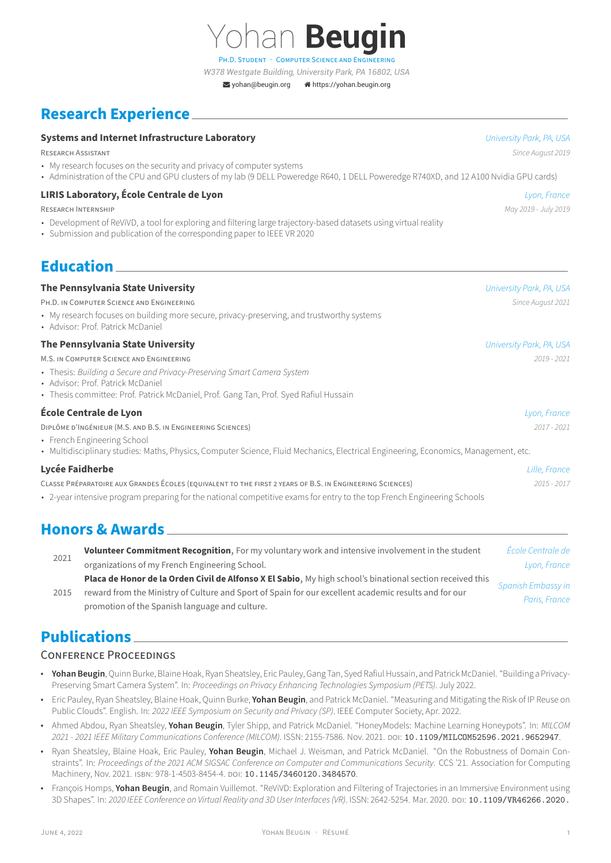[yohan@beugin.org](mailto:yohan@beugin.org) [https://yohan.beugin.org](http://https://yohan.beugin.org)

an **Beugin** 

# **Research Experience**

#### **Systems and Internet Infrastructure Laboratory** *University Park, PA, USA*

- My research focuses on the security and privacy of computer systems
- Administration of the CPU and GPU clusters of my lab (9 DELL Poweredge R640, 1 DELL Poweredge R740XD, and 12 A100 Nvidia GPU cards)

### **LIRIS Laboratory, École Centrale de Lyon** *Lyon, France*

RESEARCH INTERNSHiP *May 2019 ‑ July 2019*

- Development of ReViVD, a tool for exploring and filtering large trajectory-based datasets using virtual reality
- Submission and publication of the corresponding paper to IEEE VR 2020

# **Education**

## **The Pennsylvania State University** *University Park, PA, USA*

PH.D. iN COMPUTER SCiENCE AND ENGiNEERiNG *Since August 2021*

- My research focuses on building more secure, privacy-preserving, and trustworthy systems
- Advisor: Prof. Patrick McDaniel

### **The Pennsylvania State University** *University Park, PA, USA*

M.S. iN COMPUTER SCiENCE AND ENGiNEERiNG *2019 ‑ 2021*

- Thesis: *Building a Secure and Privacy‑Preserving Smart Camera System*
- Advisor: Prof. Patrick McDaniel
- Thesis committee: Prof. Patrick McDaniel, Prof. Gang Tan, Prof. Syed Rafiul Hussain

### **École Centrale de Lyon** *Lyon, France*

DiPLÔME D'INGÉNiEUR (M.S. AND B.S. iN ENGiNEERiNG SCiENCES) *2017 ‑ 2021*

- French Engineering School
- Multidisciplinary studies: Maths, Physics, Computer Science, Fluid Mechanics, Electrical Engineering, Economics, Management, etc.

### **Lycée Faidherbe** *Lille, France*

CLASSE PRÉPARATOiRE AUX GRANDES ÉCOLES (EQUiVALENT TO THE FiRST 2 YEARS OF B.S. iN ENGiNEERiNG SCiENCES) *2015 ‑ 2017*

• 2-year intensive program preparing for the national competitive exams for entry to the top French Engineering Schools

# **Honors & Awards**

| 2021 | Volunteer Commitment Recognition, For my voluntary work and intensive involvement in the student          | École Centrale de  |
|------|-----------------------------------------------------------------------------------------------------------|--------------------|
|      | organizations of my French Engineering School.                                                            | Lyon, France       |
| 2015 | Placa de Honor de la Orden Civil de Alfonso X El Sabio, My high school's binational section received this | Spanish Embassy in |
|      | reward from the Ministry of Culture and Sport of Spain for our excellent academic results and for our     |                    |
|      | promotion of the Spanish language and culture.                                                            | Paris, France      |

# **Publications**

### CONFERENCE PROCEEDiNGS

- **Yohan Beugin**, Quinn Burke, Blaine Hoak, Ryan Sheatsley, Eric Pauley, Gang Tan, Syed Rafiul Hussain, and Patrick McDaniel. "Building a Privacy‑ Preserving Smart Camera System". In: *Proceedings on Privacy Enhancing Technologies Symposium (PETS)*. July 2022.
- Eric Pauley, Ryan Sheatsley, Blaine Hoak, Quinn Burke, **Yohan Beugin**, and Patrick McDaniel. "Measuring and Mitigating the Risk of IP Reuse on Public Clouds". English. In: *2022 IEEE Symposium on Security and Privacy (SP)*. IEEE Computer Society, Apr. 2022.
- Ahmed Abdou, Ryan Sheatsley, **Yohan Beugin**, Tyler Shipp, and Patrick McDaniel. "HoneyModels: Machine Learning Honeypots". In: *MILCOM 2021 ‑ 2021 IEEE Military Communications Conference (MILCOM)*. ISSN: 2155‑7586. Nov. 2021. DOi: [10.1109/MILCOM52596.2021.9652947](https://doi.org/10.1109/MILCOM52596.2021.9652947).
- Ryan Sheatsley, Blaine Hoak, Eric Pauley, **Yohan Beugin**, Michael J. Weisman, and Patrick McDaniel. "On the Robustness of Domain Con‑ straints". In: *Proceedings of the 2021 ACM SIGSAC Conference on Computer and Communications Security*. CCS '21. Association for Computing Machinery, Nov. 2021. ISBN: 978-1-4503-8454-4. DOI: [10.1145/3460120.3484570](https://doi.org/10.1145/3460120.3484570).
- François Homps, **Yohan Beugin**, and Romain Vuillemot. "ReViVD: Exploration and Filtering of Trajectories in an Immersive Environment using 3D Shapes". In: *2020 IEEE Conference on Virtual Reality and 3D User Interfaces (VR)*. ISSN: 2642‑5254. Mar. 2020. DOi: [10.1109/VR46266.2020.](https://doi.org/10.1109/VR46266.2020.00096)

RESEARCH ASSiSTANT *Since August 2019*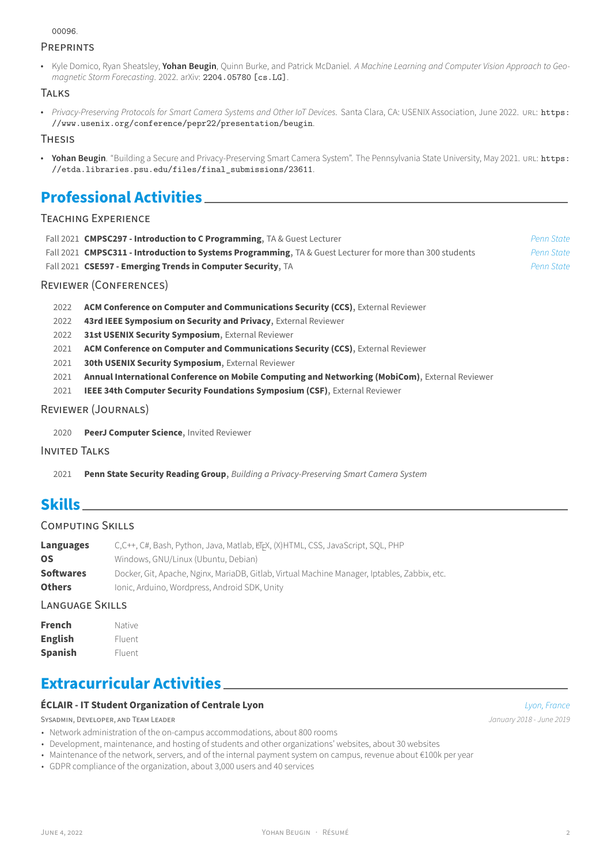#### [00096](https://doi.org/10.1109/VR46266.2020.00096).

### **PREPRINTS**

• Kyle Domico, Ryan Sheatsley, **Yohan Beugin**, Quinn Burke, and Patrick McDaniel. *A Machine Learning and Computer Vision Approach to Geo‑ magnetic Storm Forecasting*. 2022. arXiv: [2204.05780 \[cs.LG\]](https://arxiv.org/abs/2204.05780).

### **TALKS**

• *Privacy‑Preserving Protocols for Smart Camera Systems and Other IoT Devices*. Santa Clara, CA: USENIX Association, June 2022. URL: [https:](https://www.usenix.org/conference/pepr22/presentation/beugin) [//www.usenix.org/conference/pepr22/presentation/beugin](https://www.usenix.org/conference/pepr22/presentation/beugin).

#### THESIS

• **Yohan Beugin**. "Building a Secure and Privacy-Preserving Smart Camera System". The Pennsylvania State University, May 2021. URL: [https:](https://etda.libraries.psu.edu/files/final_submissions/23611) [//etda.libraries.psu.edu/files/final\\_submissions/23611](https://etda.libraries.psu.edu/files/final_submissions/23611).

# **Professional Activities**

### TEACHiNG EXPERiENCE

| Fall 2021 CMPSC297 - Introduction to C Programming, TA & Guest Lecturer                                          | Penn State |
|------------------------------------------------------------------------------------------------------------------|------------|
| Fall 2021 <b>CMPSC311 - Introduction to Systems Programming</b> , TA & Guest Lecturer for more than 300 students | Penn State |
| Fall 2021 CSE597 - Emerging Trends in Computer Security, TA                                                      | Penn State |
|                                                                                                                  |            |

### REViEWER (CONFERENCES)

- 2022 **ACM Conference on Computer and Communications Security (CCS)**, External Reviewer
- 2022 **43rd IEEE Symposium on Security and Privacy**, External Reviewer
- 2022 **31st USENIX Security Symposium**, External Reviewer
- 2021 **ACM Conference on Computer and Communications Security (CCS)**, External Reviewer
- 2021 **30th USENIX Security Symposium**, External Reviewer
- 2021 **Annual International Conference on Mobile Computing and Networking (MobiCom)**, External Reviewer
- 2021 **IEEE 34th Computer Security Foundations Symposium (CSF)**, External Reviewer

### REViEWER (JOURNALS)

2020 **PeerJ Computer Science**, Invited Reviewer

### INViTED TALKS

2021 **Penn State Security Reading Group**, *Building a Privacy‑Preserving Smart Camera System*

# **Skills**

### COMPUTiNG SKiLLS

| Languages        | C,C++, C#, Bash, Python, Java, Matlab, EFX, (X)HTML, CSS, JavaScript, SQL, PHP               |
|------------------|----------------------------------------------------------------------------------------------|
| <b>OS</b>        | Windows, GNU/Linux (Ubuntu, Debian)                                                          |
| <b>Softwares</b> | Docker, Git, Apache, Nginx, MariaDB, Gitlab, Virtual Machine Manager, Iptables, Zabbix, etc. |
| <b>Others</b>    | Jonic, Arduino, Wordpress, Android SDK, Unity                                                |
|                  |                                                                                              |

# LANGUAGE SKILLS

| French         | Native |
|----------------|--------|
| <b>English</b> | Fluent |
| <b>Spanish</b> | Fluent |

# **Extracurricular Activities**

### **ÉCLAIR ‑ IT Student Organization of Centrale Lyon** *Lyon, France*

SYSADMIN, DEVELOPER, AND TEAM LEADER *January 2018 - June 2019 January 2018 - June 2019* 

- Network administration of the on-campus accommodations, about 800 rooms
- Development, maintenance, and hosting of students and other organizations' websites, about 30 websites
- Maintenance of the network, servers, and of the internal payment system on campus, revenue about €100k per year
- GDPR compliance of the organization, about 3,000 users and 40 services